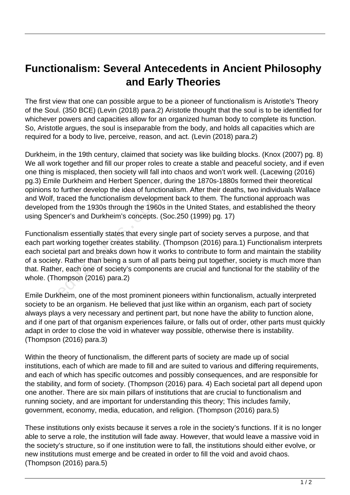## **Functionalism: Several Antecedents in Ancient Philosophy and Early Theories**

The first view that one can possible argue to be a pioneer of functionalism is Aristotle's Theory of the Soul. (350 BCE) (Levin (2018) para.2) Aristotle thought that the soul is to be identified for whichever powers and capacities allow for an organized human body to complete its function. So, Aristotle argues, the soul is inseparable from the body, and holds all capacities which are required for a body to live, perceive, reason, and act. (Levin (2018) para.2)

Durkheim, in the 19th century, claimed that society was like building blocks. (Knox (2007) pg. 8) We all work together and fill our proper roles to create a stable and peaceful society, and if even one thing is misplaced, then society will fall into chaos and won't work well. (Lacewing (2016) pg.3) Emile Durkheim and Herbert Spencer, during the 1870s-1880s formed their theoretical opinions to further develop the idea of functionalism. After their deaths, two individuals Wallace and Wolf, traced the functionalism development back to them. The functional approach was developed from the 1930s through the 1960s in the United States, and established the theory using Spencer's and Durkheim's concepts. (Soc.250 (1999) pg. 17)

Functionalism essentially states that every single part of society serves a purpose, and that each part working together creates stability. (Thompson (2016) para.1) Functionalism interprets each societal part and breaks down how it works to contribute to form and maintain the stability of a society. Rather than being a sum of all parts being put together, society is much more than that. Rather, each one of society's components are crucial and functional for the stability of the whole. (Thompson (2016) para.2) raced the functionalism developm<br>from the 1930s through the 1960:<br>ncer's and Durkheim's concepts. (<br>ism essentially states that every s<br>working together creates stability.<br>tal part and breaks down how it w<br>y. Rather than b

Emile Durkheim, one of the most prominent pioneers within functionalism, actually interpreted society to be an organism. He believed that just like within an organism, each part of society always plays a very necessary and pertinent part, but none have the ability to function alone, and if one part of that organism experiences failure, or falls out of order, other parts must quickly adapt in order to close the void in whatever way possible, otherwise there is instability. (Thompson (2016) para.3)

Within the theory of functionalism, the different parts of society are made up of social institutions, each of which are made to fill and are suited to various and differing requirements, and each of which has specific outcomes and possibly consequences, and are responsible for the stability, and form of society. (Thompson (2016) para. 4) Each societal part all depend upon one another. There are six main pillars of institutions that are crucial to functionalism and running society, and are important for understanding this theory; This includes family, government, economy, media, education, and religion. (Thompson (2016) para.5)

These institutions only exists because it serves a role in the society's functions. If it is no longer able to serve a role, the institution will fade away. However, that would leave a massive void in the society's structure, so if one institution were to fall, the institutions should either evolve, or new institutions must emerge and be created in order to fill the void and avoid chaos. (Thompson (2016) para.5)